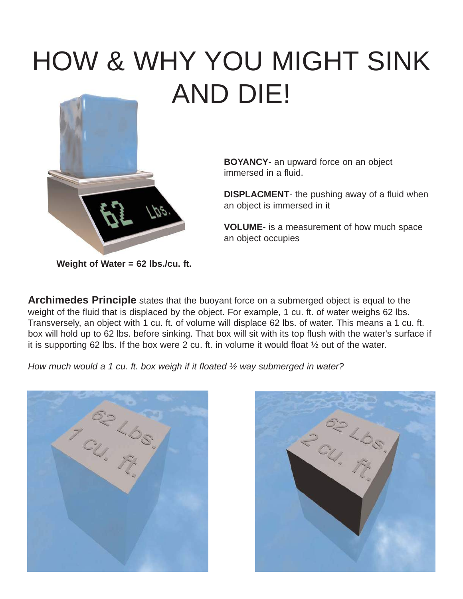# HOW & WHY YOU MIGHT SINK AND DIE!



**BOYANCY**- an upward force on an object immersed in a fluid.

**DISPLACMENT**- the pushing away of a fluid when an object is immersed in it

**VOLUME**- is a measurement of how much space an object occupies

**Weight of Water = 62 lbs./cu. ft.**

**Archimedes Principle** states that the buoyant force on a submerged object is equal to the weight of the fluid that is displaced by the object. For example, 1 cu. ft. of water weighs 62 lbs. Transversely, an object with 1 cu. ft. of volume will displace 62 lbs. of water. This means a 1 cu. ft. box will hold up to 62 lbs. before sinking. That box will sit with its top flush with the water's surface if it is supporting 62 lbs. If the box were 2 cu. ft. in volume it would float ½ out of the water.

*How much would a 1 cu. ft. box weigh if it floated ½ way submerged in water?*



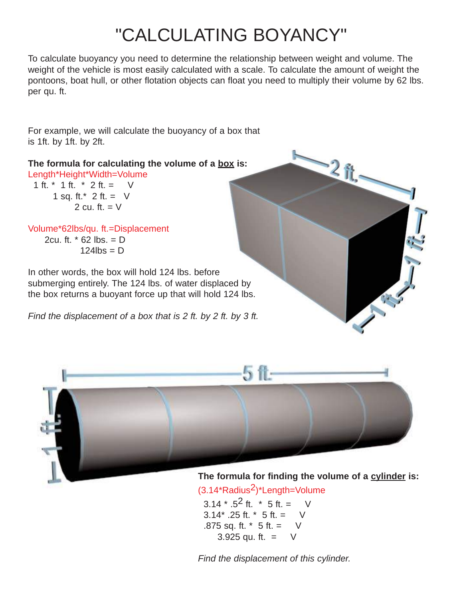# "CALCULATING BOYANCY"

To calculate buoyancy you need to determine the relationship between weight and volume. The weight of the vehicle is most easily calculated with a scale. To calculate the amount of weight the pontoons, boat hull, or other flotation objects can float you need to multiply their volume by 62 lbs. per qu. ft.

For example, we will calculate the buoyancy of a box that is 1ft. by 1ft. by 2ft.

**The formula for calculating the volume of a box is:** Length\*Height\*Width=Volume

1 ft.  $*$  1 ft.  $*$  2 ft. = V 1 sq. ft. $*$  2 ft. = V 2 cu. ft.  $= V$ 

Volume\*62lbs/qu. ft.=Displacement 2cu. ft.  $*$  62 lbs. = D  $124$ lbs = D

In other words, the box will hold 124 lbs. before submerging entirely. The 124 lbs. of water displaced by the box returns a buoyant force up that will hold 124 lbs.

*Find the displacement of a box that is 2 ft. by 2 ft. by 3 ft.*





**The formula for finding the volume of a cylinder is:**

 $(3.14*Radius<sup>2</sup>)*Length=Volume$ 

 $3.14 \times .5^2$  ft.  $*$  5 ft. = V 3.14 $*$  .25 ft.  $*$  5 ft. = V .875 sq. ft. \* 5 ft. = V 3.925 qu. ft.  $=$  V

*Find the displacement of this cylinder.*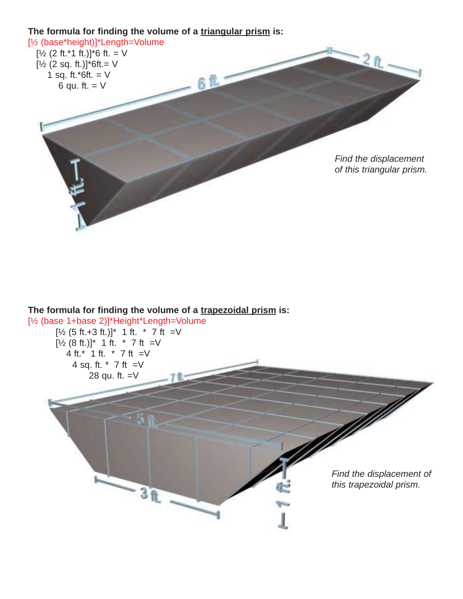

#### **The formula for finding the volume of a trapezoidal prism is:**

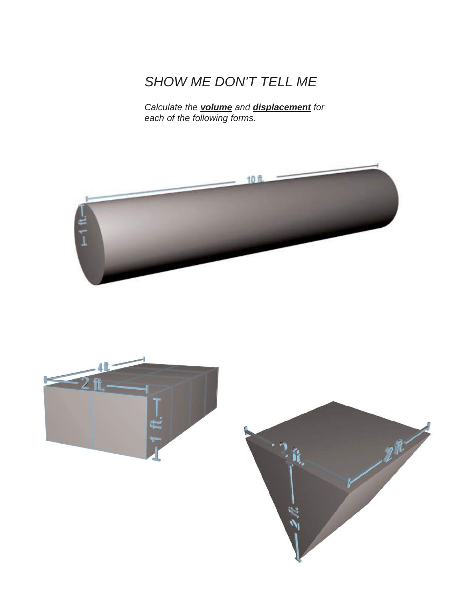### *SHOW ME DON'T TELL ME*

*Calculate the volume and displacement for each of the following forms.*





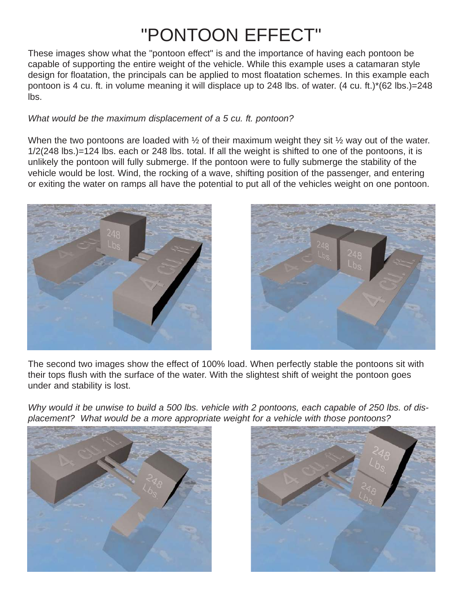# "PONTOON EFFECT"

These images show what the "pontoon effect" is and the importance of having each pontoon be capable of supporting the entire weight of the vehicle. While this example uses a catamaran style design for floatation, the principals can be applied to most floatation schemes. In this example each pontoon is 4 cu. ft. in volume meaning it will displace up to 248 lbs. of water. (4 cu. ft.)\*(62 lbs.)=248 lbs.

#### *What would be the maximum displacement of a 5 cu. ft. pontoon?*

When the two pontoons are loaded with  $\frac{1}{2}$  of their maximum weight they sit  $\frac{1}{2}$  way out of the water. 1/2(248 lbs.)=124 lbs. each or 248 lbs. total. If all the weight is shifted to one of the pontoons, it is unlikely the pontoon will fully submerge. If the pontoon were to fully submerge the stability of the vehicle would be lost. Wind, the rocking of a wave, shifting position of the passenger, and entering or exiting the water on ramps all have the potential to put all of the vehicles weight on one pontoon.



![](_page_4_Picture_5.jpeg)

The second two images show the effect of 100% load. When perfectly stable the pontoons sit with their tops flush with the surface of the water. With the slightest shift of weight the pontoon goes under and stability is lost.

*Why would it be unwise to build a 500 lbs. vehicle with 2 pontoons, each capable of 250 lbs. of displacement? What would be a more appropriate weight for a vehicle with those pontoons?*

![](_page_4_Picture_8.jpeg)

![](_page_4_Picture_9.jpeg)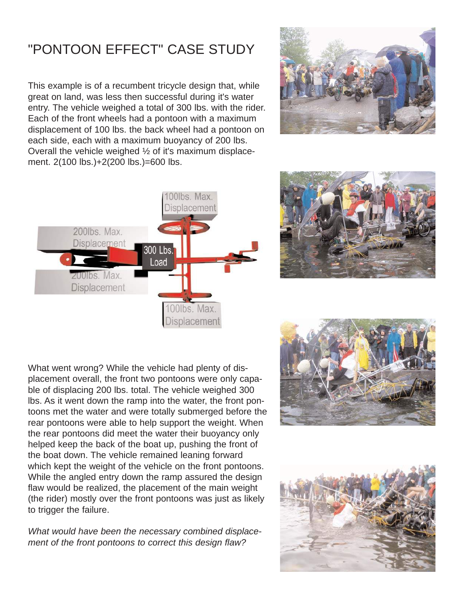### "PONTOON EFFECT" CASE STUDY

This example is of a recumbent tricycle design that, while great on land, was less then successful during it's water entry. The vehicle weighed a total of 300 lbs. with the rider. Each of the front wheels had a pontoon with a maximum displacement of 100 lbs. the back wheel had a pontoon on each side, each with a maximum buoyancy of 200 lbs. Overall the vehicle weighed ½ of it's maximum displacement. 2(100 lbs.)+2(200 lbs.)=600 lbs.

![](_page_5_Picture_2.jpeg)

![](_page_5_Figure_3.jpeg)

![](_page_5_Picture_4.jpeg)

What went wrong? While the vehicle had plenty of displacement overall, the front two pontoons were only capable of displacing 200 lbs. total. The vehicle weighed 300 lbs. As it went down the ramp into the water, the front pontoons met the water and were totally submerged before the rear pontoons were able to help support the weight. When the rear pontoons did meet the water their buoyancy only helped keep the back of the boat up, pushing the front of the boat down. The vehicle remained leaning forward which kept the weight of the vehicle on the front pontoons. While the angled entry down the ramp assured the design flaw would be realized, the placement of the main weight (the rider) mostly over the front pontoons was just as likely to trigger the failure.

*What would have been the necessary combined displacement of the front pontoons to correct this design flaw?* 

![](_page_5_Picture_7.jpeg)

![](_page_5_Picture_8.jpeg)